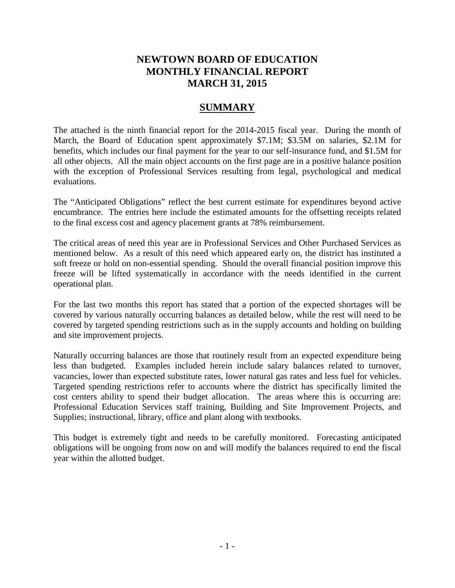# **NEWTOWN BOARD OF EDUCATION MONTHLY FINANCIAL REPORT MARCH 31, 2015**

# **SUMMARY**

The attached is the ninth financial report for the 2014-2015 fiscal year. During the month of March, the Board of Education spent approximately \$7.1M; \$3.5M on salaries, \$2.1M for benefits, which includes our final payment for the year to our self-insurance fund, and \$1.5M for all other objects. All the main object accounts on the first page are in a positive balance position with the exception of Professional Services resulting from legal, psychological and medical evaluations.

The "Anticipated Obligations" reflect the best current estimate for expenditures beyond active encumbrance. The entries here include the estimated amounts for the offsetting receipts related to the final excess cost and agency placement grants at 78% reimbursement.

The critical areas of need this year are in Professional Services and Other Purchased Services as mentioned below. As a result of this need which appeared early on, the district has instituted a soft freeze or hold on non-essential spending. Should the overall financial position improve this freeze will be lifted systematically in accordance with the needs identified in the current operational plan.

For the last two months this report has stated that a portion of the expected shortages will be covered by various naturally occurring balances as detailed below, while the rest will need to be covered by targeted spending restrictions such as in the supply accounts and holding on building and site improvement projects.

Naturally occurring balances are those that routinely result from an expected expenditure being less than budgeted. Examples included herein include salary balances related to turnover, vacancies, lower than expected substitute rates, lower natural gas rates and less fuel for vehicles. Targeted spending restrictions refer to accounts where the district has specifically limited the cost centers ability to spend their budget allocation. The areas where this is occurring are: Professional Education Services staff training, Building and Site Improvement Projects, and Supplies; instructional, library, office and plant along with textbooks.

This budget is extremely tight and needs to be carefully monitored. Forecasting anticipated obligations will be ongoing from now on and will modify the balances required to end the fiscal year within the allotted budget.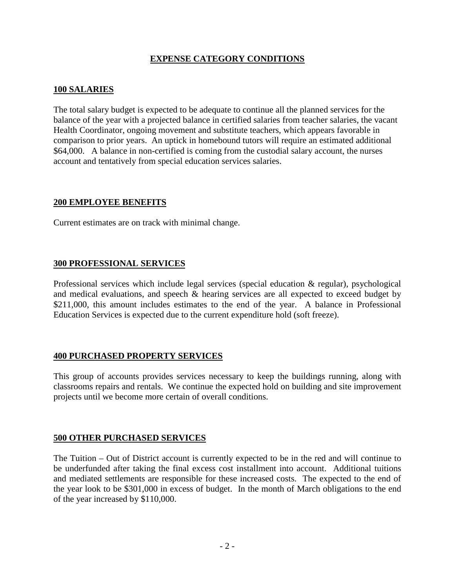# **EXPENSE CATEGORY CONDITIONS**

# **100 SALARIES**

The total salary budget is expected to be adequate to continue all the planned services for the balance of the year with a projected balance in certified salaries from teacher salaries, the vacant Health Coordinator, ongoing movement and substitute teachers, which appears favorable in comparison to prior years. An uptick in homebound tutors will require an estimated additional \$64,000. A balance in non-certified is coming from the custodial salary account, the nurses account and tentatively from special education services salaries.

### **200 EMPLOYEE BENEFITS**

Current estimates are on track with minimal change.

# **300 PROFESSIONAL SERVICES**

Professional services which include legal services (special education & regular), psychological and medical evaluations, and speech & hearing services are all expected to exceed budget by \$211,000, this amount includes estimates to the end of the year. A balance in Professional Education Services is expected due to the current expenditure hold (soft freeze).

# **400 PURCHASED PROPERTY SERVICES**

This group of accounts provides services necessary to keep the buildings running, along with classrooms repairs and rentals. We continue the expected hold on building and site improvement projects until we become more certain of overall conditions.

### **500 OTHER PURCHASED SERVICES**

The Tuition – Out of District account is currently expected to be in the red and will continue to be underfunded after taking the final excess cost installment into account. Additional tuitions and mediated settlements are responsible for these increased costs. The expected to the end of the year look to be \$301,000 in excess of budget. In the month of March obligations to the end of the year increased by \$110,000.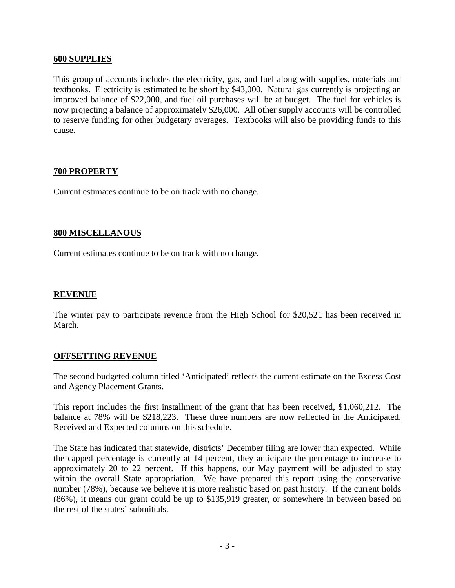### **600 SUPPLIES**

This group of accounts includes the electricity, gas, and fuel along with supplies, materials and textbooks. Electricity is estimated to be short by \$43,000. Natural gas currently is projecting an improved balance of \$22,000, and fuel oil purchases will be at budget. The fuel for vehicles is now projecting a balance of approximately \$26,000. All other supply accounts will be controlled to reserve funding for other budgetary overages. Textbooks will also be providing funds to this cause.

# **700 PROPERTY**

Current estimates continue to be on track with no change.

### **800 MISCELLANOUS**

Current estimates continue to be on track with no change.

# **REVENUE**

The winter pay to participate revenue from the High School for \$20,521 has been received in March.

### **OFFSETTING REVENUE**

The second budgeted column titled 'Anticipated' reflects the current estimate on the Excess Cost and Agency Placement Grants.

This report includes the first installment of the grant that has been received, \$1,060,212. The balance at 78% will be \$218,223. These three numbers are now reflected in the Anticipated, Received and Expected columns on this schedule.

The State has indicated that statewide, districts' December filing are lower than expected. While the capped percentage is currently at 14 percent, they anticipate the percentage to increase to approximately 20 to 22 percent. If this happens, our May payment will be adjusted to stay within the overall State appropriation. We have prepared this report using the conservative number (78%), because we believe it is more realistic based on past history. If the current holds (86%), it means our grant could be up to \$135,919 greater, or somewhere in between based on the rest of the states' submittals.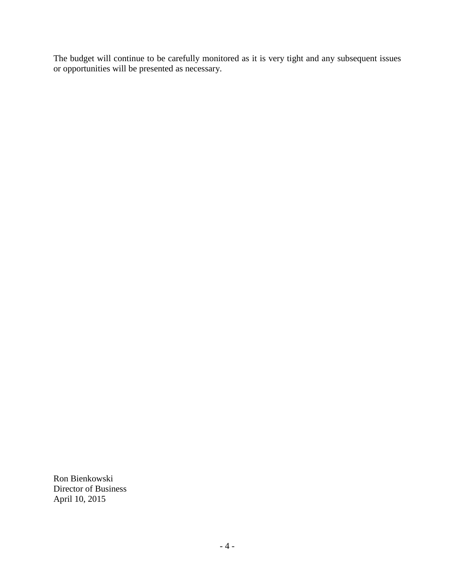The budget will continue to be carefully monitored as it is very tight and any subsequent issues or opportunities will be presented as necessary.

Ron Bienkowski Director of Business April 10, 2015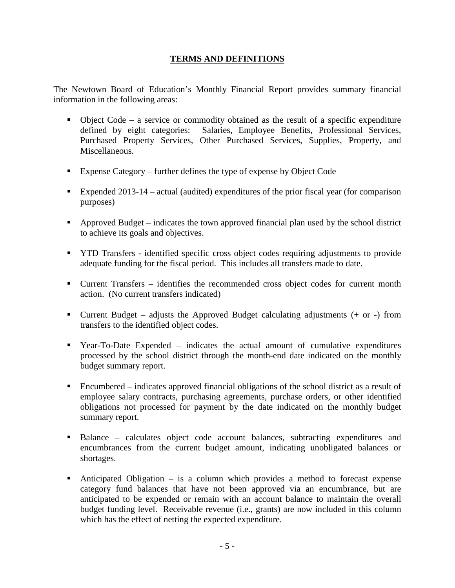# **TERMS AND DEFINITIONS**

The Newtown Board of Education's Monthly Financial Report provides summary financial information in the following areas:

- Object Code a service or commodity obtained as the result of a specific expenditure defined by eight categories: Salaries, Employee Benefits, Professional Services, Purchased Property Services, Other Purchased Services, Supplies, Property, and Miscellaneous.
- Expense Category further defines the type of expense by Object Code
- Expended 2013-14 actual (audited) expenditures of the prior fiscal year (for comparison purposes)
- Approved Budget indicates the town approved financial plan used by the school district to achieve its goals and objectives.
- **THE TRANSFER** identified specific cross object codes requiring adjustments to provide adequate funding for the fiscal period. This includes all transfers made to date.
- Current Transfers identifies the recommended cross object codes for current month action. (No current transfers indicated)
- **Current Budget** adjusts the Approved Budget calculating adjustments  $(+)$  or  $-)$  from transfers to the identified object codes.
- Year-To-Date Expended indicates the actual amount of cumulative expenditures processed by the school district through the month-end date indicated on the monthly budget summary report.
- Encumbered indicates approved financial obligations of the school district as a result of employee salary contracts, purchasing agreements, purchase orders, or other identified obligations not processed for payment by the date indicated on the monthly budget summary report.
- Balance calculates object code account balances, subtracting expenditures and encumbrances from the current budget amount, indicating unobligated balances or shortages.
- Anticipated Obligation is a column which provides a method to forecast expense category fund balances that have not been approved via an encumbrance, but are anticipated to be expended or remain with an account balance to maintain the overall budget funding level. Receivable revenue (i.e., grants) are now included in this column which has the effect of netting the expected expenditure.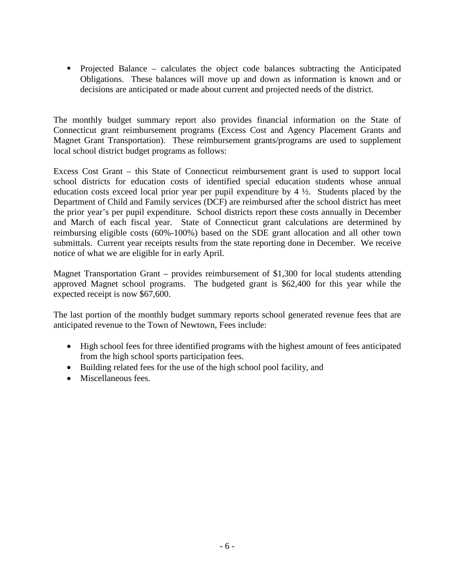Projected Balance – calculates the object code balances subtracting the Anticipated Obligations. These balances will move up and down as information is known and or decisions are anticipated or made about current and projected needs of the district.

The monthly budget summary report also provides financial information on the State of Connecticut grant reimbursement programs (Excess Cost and Agency Placement Grants and Magnet Grant Transportation). These reimbursement grants/programs are used to supplement local school district budget programs as follows:

Excess Cost Grant – this State of Connecticut reimbursement grant is used to support local school districts for education costs of identified special education students whose annual education costs exceed local prior year per pupil expenditure by 4 ½. Students placed by the Department of Child and Family services (DCF) are reimbursed after the school district has meet the prior year's per pupil expenditure. School districts report these costs annually in December and March of each fiscal year. State of Connecticut grant calculations are determined by reimbursing eligible costs (60%-100%) based on the SDE grant allocation and all other town submittals. Current year receipts results from the state reporting done in December. We receive notice of what we are eligible for in early April.

Magnet Transportation Grant – provides reimbursement of \$1,300 for local students attending approved Magnet school programs. The budgeted grant is \$62,400 for this year while the expected receipt is now \$67,600.

The last portion of the monthly budget summary reports school generated revenue fees that are anticipated revenue to the Town of Newtown, Fees include:

- High school fees for three identified programs with the highest amount of fees anticipated from the high school sports participation fees.
- Building related fees for the use of the high school pool facility, and
- Miscellaneous fees.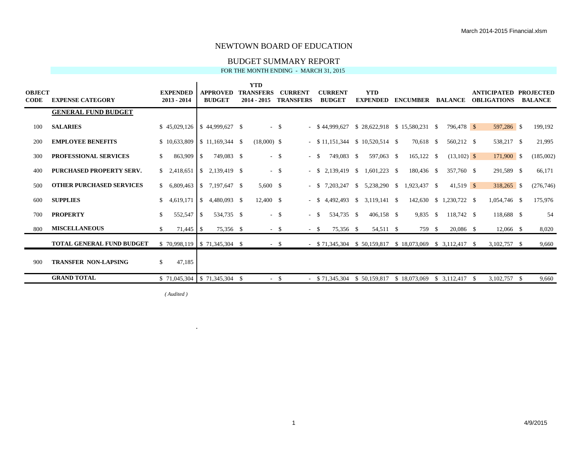#### BUDGET SUMMARY REPORT FOR THE MONTH ENDING - MARCH 31, 2015

| <b>OBJECT</b><br><b>CODE</b> | <b>EXPENSE CATEGORY</b>          | <b>EXPENDED</b><br>2013 - 2014 | <b>APPROVED</b><br><b>BUDGET</b>           | <b>YTD</b><br><b>TRANSFERS</b><br>$2014 - 2015$ | <b>CURRENT</b><br><b>TRANSFERS</b> | <b>CURRENT</b><br><b>BUDGET</b> | <b>YTD</b><br><b>EXPENDED</b>    | <b>ENCUMBER BALANCE</b>                                   |                         | ANTICIPATED PROJECTED<br><b>OBLIGATIONS</b> | <b>BALANCE</b> |
|------------------------------|----------------------------------|--------------------------------|--------------------------------------------|-------------------------------------------------|------------------------------------|---------------------------------|----------------------------------|-----------------------------------------------------------|-------------------------|---------------------------------------------|----------------|
|                              | <b>GENERAL FUND BUDGET</b>       |                                |                                            |                                                 |                                    |                                 |                                  |                                                           |                         |                                             |                |
| 100                          | <b>SALARIES</b>                  |                                | $$45,029,126 \mid $44,999,627 \mid $$      |                                                 | $-$ \$                             | $-$ \$ 44,999,627               |                                  | $$28,622,918 \quad $15,580,231 \quad $$                   | 796.478 \$              | 597,286 \$                                  | 199,192        |
| 200                          | <b>EMPLOYEE BENEFITS</b>         |                                | $$10,633,809$ $$11,169,344$ \$             | $(18,000)$ \$                                   |                                    |                                 | $-$ \$11,151,344 \$10,520,514 \$ | 70,618 \$                                                 | 560,212 \$              | 538,217 \$                                  | 21,995         |
| 300                          | <b>PROFESSIONAL SERVICES</b>     | 863,909<br>\$                  | 749,083 \$<br>\$                           |                                                 | - \$                               | 749,083 \$<br>$-$ \$            | 597,063 \$                       | $165,122$ \$                                              | $(13,102)$ \$           | 171,900 \$                                  | (185,002)      |
| 400                          | PURCHASED PROPERTY SERV.         | \$2,418,651                    | $\overline{\phantom{a}}$ 5<br>2,139,419 \$ |                                                 | $-$ \$                             | $-$ \$ 2,139,419 \$             | $1,601,223$ \$                   | 180,436 \$                                                | 357,760 \$              | 291,589 \$                                  | 66,171         |
| 500                          | <b>OTHER PURCHASED SERVICES</b>  | \$6,809,463                    | 7,197,647 \$<br><sup>\$</sup>              | 5,600 \$                                        |                                    | 7,203,247<br>$- S$              | $$5,238,290$ \,                  | 1,923,437 \$                                              | $41,519$ \$             | $318,265$ \$                                | (276,746)      |
| 600                          | <b>SUPPLIES</b>                  | \$4,619,171                    | \$<br>4,480,093 \$                         | 12,400 \$                                       |                                    | - \$                            | 4,492,493 \$ 3,119,141 \$        |                                                           | 142,630 \$ 1,230,722 \$ | 1,054,746 \$                                | 175,976        |
| 700                          | <b>PROPERTY</b>                  | \$<br>552,547                  | 534,735 \$<br>l \$                         |                                                 | $-5$                               | 534,735 \$<br>$-$ \$            | 406,158 \$                       | 9.835 \$                                                  | 118,742 \$              | 118,688 \$                                  | 54             |
| 800                          | <b>MISCELLANEOUS</b>             | S.                             | 75,356 \$                                  |                                                 | $-$ \$<br>$-$ \$                   | 75,356 \$                       | 54,511 \$                        | 759 \$                                                    | 20,086 \$               | $12,066$ \$                                 | 8,020          |
|                              | <b>TOTAL GENERAL FUND BUDGET</b> |                                | $$70,998,119 \mid $71,345,304 \; $$        |                                                 | $-$ \$                             |                                 |                                  | $-$ \$71,345,304 \$50,159,817 \$18,073,069 \$3,112,417 \$ |                         | 3,102,757 \$                                | 9,660          |
| 900                          | <b>TRANSFER NON-LAPSING</b>      | 47,185<br>\$                   |                                            |                                                 |                                    |                                 |                                  |                                                           |                         |                                             |                |
|                              | <b>GRAND TOTAL</b>               |                                | $$71,045,304$   \$71,345,304 \$            |                                                 | $-$ \$                             |                                 | $-$ \$71.345.304 \$50.159.817    | \$18,073,069                                              | \$ 3.112.417            | 3,102,757 \$<br>-S                          | 9,660          |

*( Audited )*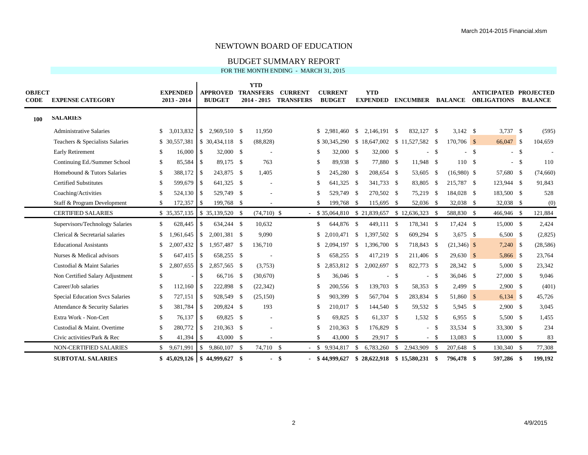#### BUDGET SUMMARY REPORT FOR THE MONTH ENDING - MARCH 31, 2015

| <b>OBJECT</b><br><b>CODE</b> | <b>EXPENSE CATEGORY</b>                |              | <b>EXPENDED</b><br>$2013 - 2014$ |                    | <b>APPROVED</b><br><b>BUDGET</b>      |      | <b>YTD</b><br><b>TRANSFERS</b><br>$2014 - 2015$ | <b>CURRENT</b><br><b>TRANSFERS</b> |     | <b>CURRENT</b><br><b>BUDGET</b> |                    | <b>YTD</b><br><b>EXPENDED</b>             |        | <b>ENCUMBER</b> |        | <b>BALANCE</b> |      | <b>ANTICIPATED PROJECTED</b><br><b>OBLIGATIONS</b> | <b>BALANCE</b> |
|------------------------------|----------------------------------------|--------------|----------------------------------|--------------------|---------------------------------------|------|-------------------------------------------------|------------------------------------|-----|---------------------------------|--------------------|-------------------------------------------|--------|-----------------|--------|----------------|------|----------------------------------------------------|----------------|
| <b>100</b>                   | <b>SALARIES</b>                        |              |                                  |                    |                                       |      |                                                 |                                    |     |                                 |                    |                                           |        |                 |        |                |      |                                                    |                |
|                              | <b>Administrative Salaries</b>         | $\mathbb{S}$ | 3,013,832                        | $\mathbb{S}$       | 2,969,510 \$                          |      | 11,950                                          |                                    |     | \$2,981,460                     | \$                 | 2,146,191 \$                              |        | 832,127 \$      |        | $3,142$ \$     |      | $3,737$ \$                                         | (595)          |
|                              | Teachers & Specialists Salaries        |              | \$ 30,557,381                    |                    | $$30,434,118$ \;                      |      | (88, 828)                                       |                                    |     | \$30,345,290                    |                    | $$18,647,002 \$11,527,582 \$$             |        |                 |        | $170,706$ \$   |      | 66,047 \$                                          | 104,659        |
|                              | <b>Early Retirement</b>                | S.           | 16,000                           | \$                 | 32,000 \$                             |      |                                                 |                                    | \$. | 32,000 \$                       |                    | 32,000 \$                                 |        |                 | $-$ \$ |                | - \$ | $-$ \$                                             |                |
|                              | Continuing Ed./Summer School           | \$           | 85,584 \$                        |                    | 89,175 \$                             |      | 763                                             |                                    | \$  | 89,938 \$                       |                    | 77,880 \$                                 |        | 11,948 \$       |        | 110S           |      | $-$ \$                                             | 110            |
|                              | Homebound & Tutors Salaries            | \$           | 388,172                          | $\mathbf{\hat{s}}$ | 243,875 \$                            |      | 1,405                                           |                                    | \$  | 245,280 \$                      |                    | 208,654 \$                                |        | 53,605 \$       |        | $(16,980)$ \$  |      | 57,680 \$                                          | (74,660)       |
|                              | <b>Certified Substitutes</b>           | \$           | 599,679 \$                       |                    | 641,325 \$                            |      |                                                 |                                    | \$  | 641,325 \$                      |                    | 341,733 \$                                |        | 83,805 \$       |        | 215,787 \$     |      | 123,944 \$                                         | 91,843         |
|                              | Coaching/Activities                    | \$           | 524,130                          | <b>S</b>           | 529,749 \$                            |      |                                                 |                                    | \$  | 529,749 \$                      |                    | 270,502 \$                                |        | 75,219 \$       |        | 184,028 \$     |      | 183,500 \$                                         | 528            |
|                              | Staff & Program Development            | \$           | 172,357                          | \$                 | 199,768 \$                            |      |                                                 |                                    | \$  | 199,768 \$                      |                    | 115,695 \$                                |        | 52,036 \$       |        | 32,038 \$      |      | 32,038 \$                                          | (0)            |
|                              | <b>CERTIFIED SALARIES</b>              |              | \$ 35,357,135                    |                    | $$35,139,520$ \ \$                    |      | $(74,710)$ \$                                   |                                    |     |                                 |                    | \$35,064,810 \$21,839,657 \$12,636,323 \$ |        |                 |        | 588,830 \$     |      | 466,946 \$                                         | 121,884        |
|                              | Supervisors/Technology Salaries        | \$           | 628,445                          | \$                 | 634,244 \$                            |      | 10,632                                          |                                    | \$  | 644,876                         | -\$                | 449,111 \$                                |        | 178,341 \$      |        | 17,424 \$      |      | 15,000 \$                                          | 2,424          |
|                              | Clerical & Secretarial salaries        | \$           | .961.645                         | \$                 | 2,001,381 \$                          |      | 9,090                                           |                                    | \$  | 2.010.471                       | $\mathbf{\hat{S}}$ | 1,397,502 \$                              |        | 609,294 \$      |        | 3,675 \$       |      | $6,500$ \$                                         | (2,825)        |
|                              | <b>Educational Assistants</b>          | \$           | 2,007,432                        | \$                 | 1,957,487                             | -S   | 136,710                                         |                                    |     | \$2.094.197                     | $\mathbf{\hat{S}}$ | 1,396,700 \$                              |        | 718,843 \$      |        | $(21,346)$ \$  |      | 7,240 \$                                           | (28, 586)      |
|                              | Nurses & Medical advisors              | \$           | 647,415                          | $\mathbf{\hat{S}}$ | 658,255 \$                            |      |                                                 |                                    | \$  | 658,255                         | - \$               | 417,219 \$                                |        | 211,406 \$      |        | $29,630$ \$    |      | 5,866 \$                                           | 23,764         |
|                              | Custodial & Maint Salaries             | \$           |                                  |                    | 2,857,565 \$                          |      | (3,753)                                         |                                    |     | \$2,853,812                     | $\mathbf{\hat{S}}$ | $2,002,697$ \$                            |        | 822,773 \$      |        | 28,342 \$      |      | 5,000 S                                            | 23,342         |
|                              | Non Certified Salary Adjustment        | \$           | $\sim$                           | \$                 | 66,716 \$                             |      | (30,670)                                        |                                    | \$  | 36,046 \$                       |                    |                                           | $-$ \$ |                 | $-$ \$ | 36,046 \$      |      | 27,000 \$                                          | 9,046          |
|                              | Career/Job salaries                    | \$           | 112,160                          | <b>S</b>           | 222,898 \$                            |      | (22, 342)                                       |                                    | \$  | 200,556 \$                      |                    | 139,703 \$                                |        | 58,353 \$       |        | $2,499$ \$     |      | 2,900 S                                            | (401)          |
|                              | <b>Special Education Svcs Salaries</b> | \$           |                                  |                    | 928,549 \$                            |      | (25, 150)                                       |                                    | \$  | 903,399 \$                      |                    | 567,704 \$                                |        | 283,834 \$      |        | 51,860 \$      |      | $6,134$ \$                                         | 45,726         |
|                              | Attendance & Security Salaries         | \$           | $381,784$ \$                     |                    | 209,824 \$                            |      | 193                                             |                                    | \$  | 210,017 \$                      |                    | 144,540 \$                                |        | 59,532 \$       |        | 5,945 \$       |      | $2,900$ \$                                         | 3,045          |
|                              | Extra Work - Non-Cert                  | \$           |                                  |                    | 69,825 \$                             |      | $\overline{\phantom{a}}$                        |                                    | \$  | 69,825 \$                       |                    | 61,337 \$                                 |        | 1,532 \$        |        | $6,955$ \$     |      | 5,500 \$                                           | 1,455          |
|                              | Custodial & Maint. Overtime            | \$           | 280,772 \$                       |                    | 210,363 \$                            |      |                                                 |                                    | \$  | 210,363 \$                      |                    | 176,829 \$                                |        |                 | - \$   | 33,534 \$      |      | 33,300 \$                                          | 234            |
|                              | Civic activities/Park & Rec            | \$           | 41,394                           | \$                 | 43,000                                | -S   |                                                 |                                    | \$  | 43,000                          | - \$               | 29,917 \$                                 |        | - \$            |        | 13,083 \$      |      | 13,000 \$                                          | 83             |
|                              | <b>NON-CERTIFIED SALARIES</b>          |              | \$9,671,991                      | S.                 | 9,860,107                             | - \$ | 74,710 \$                                       |                                    |     | \$9,934,817                     | \$                 | 6,783,260                                 | - \$   | 2,943,909 \$    |        | 207,648 \$     |      | 130,340 \$                                         | 77,308         |
|                              | <b>SUBTOTAL SALARIES</b>               |              |                                  |                    | $$45,029,126 \mid $44,999,627 \mid $$ |      |                                                 | - \$                               |     | $-$ \$ 44,999,627               |                    | $$28,622,918 \quad $15,580,231 \quad $$   |        |                 |        | 796,478 \$     |      | 597,286 \$                                         | 199,192        |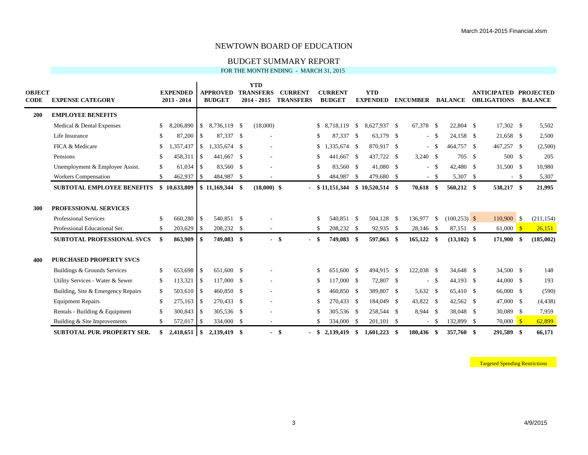#### BUDGET SUMMARY REPORT FOR THE MONTH ENDING - MARCH 31, 2015

| <b>OBJECT</b><br><b>CODE</b> | <b>EXPENSE CATEGORY</b>                                                                       |          | <b>EXPENDED</b><br>2013 - 2014 |               | <b>APPROVED</b><br><b>BUDGET</b> | <b>YTD</b><br><b>TRANSFERS</b><br>$2014 - 2015$ |      | <b>CURRENT</b><br><b>TRANSFERS</b> |              | <b>CURRENT</b><br><b>BUDGET</b> |      | <b>YTD</b><br><b>EXPENDED</b> |    | <b>ENCUMBER</b>      |        | <b>BALANCE</b>               | <b>ANTICIPATED PROJECTED</b><br><b>OBLIGATIONS</b> |      | <b>BALANCE</b>       |
|------------------------------|-----------------------------------------------------------------------------------------------|----------|--------------------------------|---------------|----------------------------------|-------------------------------------------------|------|------------------------------------|--------------|---------------------------------|------|-------------------------------|----|----------------------|--------|------------------------------|----------------------------------------------------|------|----------------------|
| 200                          | <b>EMPLOYEE BENEFITS</b>                                                                      |          |                                |               |                                  |                                                 |      |                                    |              |                                 |      |                               |    |                      |        |                              |                                                    |      |                      |
|                              | Medical & Dental Expenses                                                                     | \$       | 8,206,890                      | <sup>S</sup>  | 8,736,119 \$                     | (18,000)                                        |      |                                    |              | \$ 8,718,119                    | \$   | 8.627.937 \$                  |    | 67,378 \$            |        | 22,804 \$                    | 17,302 \$                                          |      | 5,502                |
|                              | Life Insurance                                                                                | \$       | 87,200                         | - \$          | 87,337 \$                        |                                                 |      |                                    | \$           | 87,337                          | - \$ | 63,179 \$                     |    |                      | $-$ \$ | 24,158 \$                    | 21,658 \$                                          |      | 2,500                |
|                              | FICA & Medicare                                                                               | \$       | .357,437                       | $\mathcal{S}$ | 1,335,674 \$                     |                                                 |      |                                    |              | $$1,335,674$ \;                 |      | 870,917 \$                    |    | $\sim$               | - \$   | 464,757 \$                   | 467,257 \$                                         |      | (2,500)              |
|                              | Pensions                                                                                      | \$       | 458,311                        | - \$          | 441,667 \$                       |                                                 |      |                                    | \$           | 441,667 \$                      |      | 437,722 \$                    |    | $3,240$ \$           |        | 705 \$                       | 500 \$                                             |      | 205                  |
|                              | Unemployment & Employee Assist.                                                               | \$       | 61,034                         | l S           | 83,560 \$                        |                                                 |      |                                    | $\mathbb{S}$ | 83,560 \$                       |      | 41,080 \$                     |    | $\sim$               | - \$   | 42,480 \$                    | 31,500 \$                                          |      | 10,980               |
|                              | Workers Compensation                                                                          | \$       | 462,937                        | \$            | 484,987 \$                       |                                                 |      |                                    | \$.          | 484,987                         | - \$ | 479,680 \$                    |    | $\sim$               | - \$   | 5,307 \$                     |                                                    | - \$ | 5,307                |
|                              | <b>SUBTOTAL EMPLOYEE BENEFITS</b>                                                             |          | \$10,633,809                   |               |                                  | $(18,000)$ \$                                   |      |                                    |              | $-$ \$ 11,151,344               |      | $$10,520,514$ \\$             |    | 70,618               | -\$    | 560,212 \$                   | 538,217 \$                                         |      | 21,995               |
| 300                          | <b>PROFESSIONAL SERVICES</b><br><b>Professional Services</b><br>Professional Educational Ser. | S.<br>\$ | 660,280<br>203,629             | -S<br>- S     | 540.851 \$<br>208,232 \$         |                                                 |      |                                    | \$<br>\$     | 540.851 \$<br>208,232 \$        |      | 504,128 \$<br>92,935 \$       |    | 136,977<br>28,146 \$ | -\$    | $(100, 253)$ \$<br>87,151 \$ | 110,900 \$<br>$61,000$ \$                          |      | (211, 154)<br>26,151 |
|                              | <b>SUBTOTAL PROFESSIONAL SVCS</b>                                                             | \$       | 863,909                        |               | 749,083 \$                       |                                                 | - \$ |                                    | -\$          | 749,083 \$                      |      | 597,063 \$                    |    | $165,122$ \$         |        | $(13,102)$ \$                | 171,900 \$                                         |      | (185,002)            |
| 400                          | <b>PURCHASED PROPERTY SVCS</b>                                                                |          |                                |               |                                  |                                                 |      |                                    |              |                                 |      |                               |    |                      |        |                              |                                                    |      |                      |
|                              | Buildings & Grounds Services                                                                  | \$       | 653.698                        | - \$          | 651,600 \$                       |                                                 |      |                                    | S.           | 651,600                         | - \$ | 494,915 \$                    |    | 122,038 \$           |        | 34.648 \$                    | 34,500 \$                                          |      | 148                  |
|                              | Utility Services - Water & Sewer                                                              | \$       | 113,321                        | -\$           | 117,000 \$                       | $\overline{\phantom{a}}$                        |      |                                    | \$           | 117,000 \$                      |      | 72,807 \$                     |    | $\sim$               | - \$   | 44,193 \$                    | 44,000 \$                                          |      | 193                  |
|                              | Building, Site & Emergency Repairs                                                            | \$       | 503,610                        | l \$          | 460,850 \$                       |                                                 |      |                                    | \$           | 460,850 \$                      |      | 389,807 \$                    |    | 5,632 \$             |        | 65,410 \$                    | 66,000 \$                                          |      | (590)                |
|                              | <b>Equipment Repairs</b>                                                                      | \$       | 275,163                        | -S            | 270,433 \$                       | $\overline{\phantom{a}}$                        |      |                                    | \$           | 270,433 \$                      |      | 184,049 \$                    |    | 43,822 \$            |        | 42,562 \$                    | 47,000 \$                                          |      | (4, 438)             |
|                              | Rentals - Building & Equipment                                                                | \$       | 300,843                        | l \$          | 305,536 \$                       |                                                 |      |                                    | \$           | 305,536 \$                      |      | 258,544 \$                    |    | 8,944 \$             |        | 38,048 \$                    | 30,089 \$                                          |      | 7,959                |
|                              | Building & Site Improvements                                                                  | \$       | 572,017                        | - \$          | 334,000 \$                       | $\sim$                                          |      |                                    | \$           | 334,000 \$                      |      | 201,101 \$                    |    | $\sim$               | - \$   | 132,899 \$                   | $70,000$ \$                                        |      | 62,899               |
|                              | <b>SUBTOTAL PUR. PROPERTY SER.</b>                                                            | \$       |                                |               | 2,139,419 \$                     |                                                 | - \$ |                                    | \$           | 2,139,419                       | \$   | 1,601,223                     | -S | 180,436              | - \$   | 357,760 \$                   | 291,589 \$                                         |      | 66,171               |

**Targeted Spending Restrictions**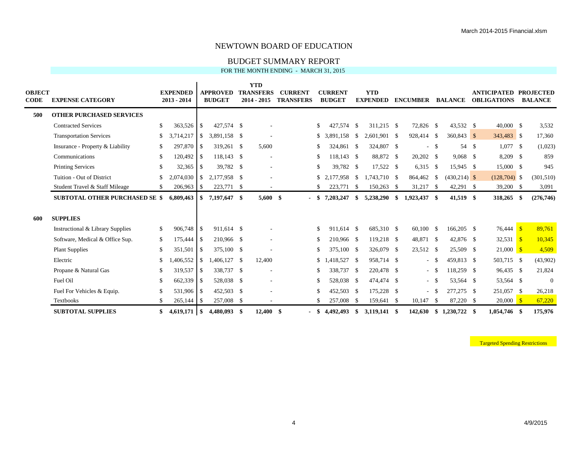BUDGET SUMMARY REPORT FOR THE MONTH ENDING - MARCH 31, 2015

| <b>OBJECT</b><br><b>CODE</b> | <b>EXPENSE CATEGORY</b>               |     | <b>EXPENDED</b><br>$2013 - 2014$ |               | <b>APPROVED</b><br><b>BUDGET</b> | <b>YTD</b><br><b>TRANSFERS</b><br>$2014 - 2015$ | <b>CURRENT</b><br><b>TRANSFERS</b> |      | <b>CURRENT</b><br><b>BUDGET</b> |          | <b>YTD</b><br><b>EXPENDED</b> |      | <b>ENCUMBER</b> |        | <b>BALANCE</b>  | <b>ANTICIPATED PROJECTED</b><br><b>OBLIGATIONS</b> | <b>BALANCE</b> |
|------------------------------|---------------------------------------|-----|----------------------------------|---------------|----------------------------------|-------------------------------------------------|------------------------------------|------|---------------------------------|----------|-------------------------------|------|-----------------|--------|-----------------|----------------------------------------------------|----------------|
| 500                          | <b>OTHER PURCHASED SERVICES</b>       |     |                                  |               |                                  |                                                 |                                    |      |                                 |          |                               |      |                 |        |                 |                                                    |                |
|                              | <b>Contracted Services</b>            | \$  | 363,526                          | \$            | 427,574 \$                       |                                                 |                                    | \$   | 427,574 \$                      |          | 311,215 \$                    |      | 72,826 \$       |        | 43,532 \$       | 40,000 \$                                          | 3,532          |
|                              | <b>Transportation Services</b>        | \$  | 3,714,217                        |               | $$3,891,158$ \ \$                |                                                 |                                    | S.   | 3,891,158 \$                    |          | 2,601,901 \$                  |      | 928,414 \$      |        | $360,843$ \$    | 343,483 \$                                         | 17,360         |
|                              | Insurance - Property & Liability      | \$  | 297,870                          | <sup>\$</sup> | 319,261 \$                       | 5,600                                           |                                    | \$.  | 324,861 \$                      |          | 324,807 \$                    |      |                 | $-5$   | 54 \$           | $1,077$ \$                                         | (1,023)        |
|                              | Communications                        | \$  | 120,492                          | <sup>\$</sup> | 118,143 \$                       | $\overline{\phantom{a}}$                        |                                    | \$   | 118,143 \$                      |          | 88,872 \$                     |      | 20,202 \$       |        | $9,068$ \$      | $8,209$ \$                                         | 859            |
|                              | <b>Printing Services</b>              | \$  | 32,365                           | <sup>S</sup>  | 39,782 \$                        |                                                 |                                    | \$   | 39.782 \$                       |          | 17,522 \$                     |      | 6,315 \$        |        | 15.945 \$       | 15,000 \$                                          | 945            |
|                              | Tuition - Out of District             | \$  | 2.074.030                        | $\mathbb{S}$  | 2.177.958 \$                     |                                                 |                                    | S.   | 2.177.958                       | <b>S</b> | 1.743.710 \$                  |      | 864,462         | - \$   | $(430, 214)$ \$ | $(128, 704)$ \$                                    | (301, 510)     |
|                              | Student Travel & Staff Mileage        | \$  | 206,963                          | \$            | 223,771 \$                       |                                                 |                                    | £.   | 223,771 \$                      |          | 150,263                       | - \$ | 31,217 \$       |        | $42,291$ \$     | 39,200 \$                                          | 3,091          |
|                              | <b>SUBTOTAL OTHER PURCHASED SE \$</b> |     | 6,809,463                        |               | $$7,197,647$ \$                  | $5,600$ \$                                      | $\blacksquare$                     | -SS- | 7,203,247                       | -SS      | 5,238,290                     | SS.  | 1,923,437 \$    |        | 41,519 \$       | 318,265 \$                                         | (276, 746)     |
| 600                          | <b>SUPPLIES</b>                       |     |                                  |               |                                  |                                                 |                                    |      |                                 |          |                               |      |                 |        |                 |                                                    |                |
|                              | Instructional & Library Supplies      | \$  | 906,748                          | <sup>\$</sup> | 911,614 \$                       |                                                 |                                    | \$   | 911,614 \$                      |          | 685,310 \$                    |      | $60,100$ \$     |        | 166,205 \$      | $76,444$ \$                                        | 89,761         |
|                              | Software, Medical & Office Sup.       | \$  | 175,444                          | <sup>\$</sup> | 210,966 \$                       |                                                 |                                    | \$   | 210,966 \$                      |          | 119,218 \$                    |      | 48,871 \$       |        | 42,876 \$       | $32,531$ \$                                        | 10,345         |
|                              | <b>Plant Supplies</b>                 | \$  | 351,501                          | $\mathbb{S}$  | 375,100 \$                       |                                                 |                                    | \$   | 375,100 \$                      |          | 326,079 \$                    |      | 23,512 \$       |        | 25,509 \$       | $21,000$ \$                                        | 4,509          |
|                              | Electric                              | \$. | .406,552                         | \$            | 1,406,127 \$                     | 12,400                                          |                                    | S.   | 1,418,527 \$                    |          | 958,714 \$                    |      |                 | $-$ \$ | 459,813 \$      | 503,715 \$                                         | (43,902)       |
|                              | Propane & Natural Gas                 | \$  | 319,537                          | $\mathbb{S}$  | 338,737 \$                       |                                                 |                                    | \$   | 338,737 \$                      |          | 220,478 \$                    |      |                 | $-$ \$ | 118,259 \$      | 96,435 \$                                          | 21,824         |
|                              | Fuel Oil                              | \$  | 662,339                          | $\mathbb{S}$  | 528,038 \$                       |                                                 |                                    | \$   | 528,038 \$                      |          | 474,474 \$                    |      |                 | $-$ \$ | 53,564 \$       | 53,564 \$                                          | $\overline{0}$ |
|                              | Fuel For Vehicles & Equip.            | \$. | 531,906                          | <sup>S</sup>  | 452,503 \$                       |                                                 |                                    |      | 452,503 \$                      |          | 175,228 \$                    |      |                 | $-$ \$ | 277,275 \$      | 251,057 \$                                         | 26,218         |
|                              | Textbooks                             | \$. | 265,144                          | -\$           | 257,008 \$                       |                                                 |                                    | \$   | 257,008                         | - \$     | 159,641 \$                    |      | 10,147          | - \$   | 87,220 \$       | $20,000$ \$                                        | 67,220         |
|                              | <b>SUBTOTAL SUPPLIES</b>              | \$  | $4,619,171$ \$                   |               | 4.480.093 \$                     | $12,400$ \$                                     | $\blacksquare$                     | -SS  | 4,492,493                       | -S       | 3,119,141 \$                  |      | 142,630         |        |                 | 1,054,746 \$                                       | 175,976        |

**Targeted Spending Restrictions**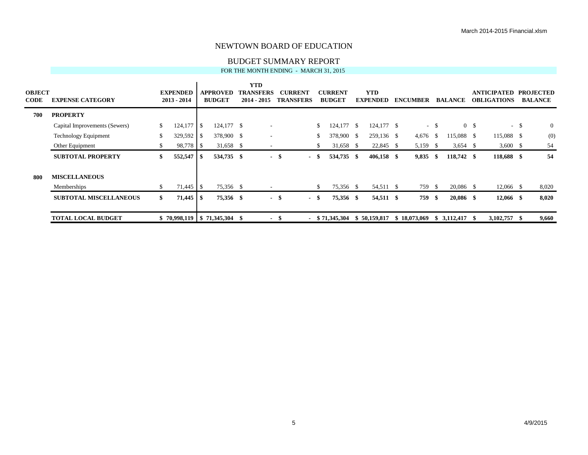#### BUDGET SUMMARY REPORT FOR THE MONTH ENDING - MARCH 31, 2015

| <b>OBJECT</b><br><b>CODE</b> | <b>EXPENSE CATEGORY</b>       |    | <b>EXPENDED</b><br>$2013 - 2014$  |      | <b>APPROVED</b><br><b>BUDGET</b> | <b>YTD</b><br><b>TRANSFERS</b><br>$2014 - 2015$ |                          | <b>CURRENT</b><br><b>TRANSFERS</b> |     | <b>CURRENT</b><br><b>BUDGET</b> |          | <b>YTD</b><br><b>EXPENDED</b> | <b>ENCUMBER</b> |        | <b>BALANCE</b> |                | <b>ANTICIPATED</b><br><b>OBLIGATIONS</b> |        | <b>PROJECTED</b><br><b>BALANCE</b> |
|------------------------------|-------------------------------|----|-----------------------------------|------|----------------------------------|-------------------------------------------------|--------------------------|------------------------------------|-----|---------------------------------|----------|-------------------------------|-----------------|--------|----------------|----------------|------------------------------------------|--------|------------------------------------|
| 700                          | <b>PROPERTY</b>               |    |                                   |      |                                  |                                                 |                          |                                    |     |                                 |          |                               |                 |        |                |                |                                          |        |                                    |
|                              | Capital Improvements (Sewers) | \$ |                                   |      | $124,177$ \$                     |                                                 | $\overline{\phantom{a}}$ |                                    | \$  | 124,177                         | - \$     | 124,177 \$                    |                 | $-$ \$ |                | 0 <sup>5</sup> |                                          | $-$ \$ | $\overline{0}$                     |
|                              | <b>Technology Equipment</b>   |    | 329,592                           | - \$ | 378,900 \$                       |                                                 | $\overline{\phantom{a}}$ |                                    | S.  | 378,900 \$                      |          | 259,136 \$                    | 4,676           | -\$    | $15,088$ \$    |                | 115,088 \$                               |        | (0)                                |
|                              | Other Equipment               |    | 98,778 \$                         |      | 31,658 \$                        |                                                 | $\overline{\phantom{a}}$ |                                    | S   | 31,658                          | <b>S</b> | 22,845 \$                     | 5,159 \$        |        | $3,654$ \$     |                | $3,600 \quad$ \$                         |        | 54                                 |
|                              | <b>SUBTOTAL PROPERTY</b>      | ъ  | $552,547$ \\$                     |      | 534,735 \$                       |                                                 |                          | - \$<br>- \$                       |     | 534,735                         | - \$     | $406,158$ \$                  | 9,835           | - \$   | 118,742 \$     |                | 118,688 \$                               |        | 54                                 |
| 800                          | <b>MISCELLANEOUS</b>          |    |                                   |      |                                  |                                                 |                          |                                    |     |                                 |          |                               |                 |        |                |                |                                          |        |                                    |
|                              | Memberships                   |    |                                   |      | 75,356 \$                        |                                                 | $\overline{\phantom{a}}$ |                                    | \$. | 75,356 \$                       |          | 54,511 \$                     | 759 \$          |        | 20,086 \$      |                | 12,066 \$                                |        | 8,020                              |
|                              | <b>SUBTOTAL MISCELLANEOUS</b> | S. |                                   |      | 75,356 \$                        |                                                 |                          | - \$<br>- \$                       |     | 75,356 \$                       |          | 54,511 \$                     | 759 \$          |        | 20,086 \$      |                | $12,066$ \$                              |        | 8,020                              |
|                              | <b>TOTAL LOCAL BUDGET</b>     |    | $$70,998,119 \;   \; $71,345,304$ |      |                                  | - \$                                            | $\blacksquare$           | - \$                               |     | $-$ \$ 71,345,304               |          | \$50,159,817                  | \$18,073,069    |        | \$3,112,417    | - \$           | 3,102,757                                | - \$   | 9,660                              |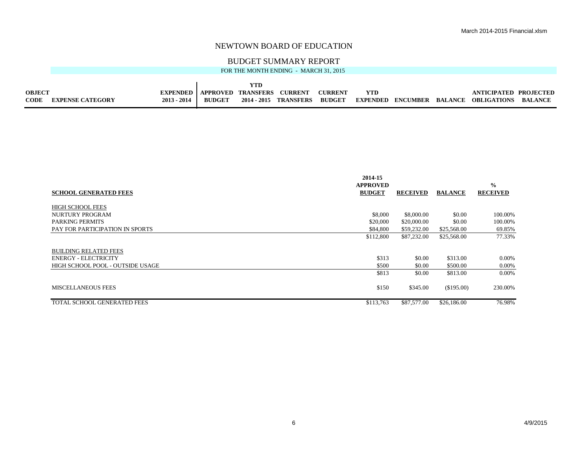#### BUDGET SUMMARY REPORT

| FOR THE MONTH ENDING - MARCH 31, 2015 |  |
|---------------------------------------|--|

| <b>OBJECT</b> |                         | <b>EXPENDED</b> | APPROVED      | <b>TRANSFERS</b> | <b>CHRREN</b>         | $\gamma$ URRENT |                 |          |                | VTICIPATED.        |                |
|---------------|-------------------------|-----------------|---------------|------------------|-----------------------|-----------------|-----------------|----------|----------------|--------------------|----------------|
| <b>CODE</b>   | <b>FYPENSE CATECORV</b> | $2013 - 2014$   | <b>BUDGET</b> |                  | 2014 - 2015 TRANSFERS | <b>BUDGET</b>   | <b>EXPENDED</b> | ENCUMBER | <b>RALANCE</b> | <b>OBLIGATIONS</b> | <b>RALANCE</b> |

|                                  | 2014-15                          |                 |                |                                  |
|----------------------------------|----------------------------------|-----------------|----------------|----------------------------------|
| <b>SCHOOL GENERATED FEES</b>     | <b>APPROVED</b><br><b>BUDGET</b> | <b>RECEIVED</b> | <b>BALANCE</b> | $\frac{0}{0}$<br><b>RECEIVED</b> |
| <b>HIGH SCHOOL FEES</b>          |                                  |                 |                |                                  |
| NURTURY PROGRAM                  | \$8,000                          | \$8,000.00      | \$0.00         | 100.00%                          |
| PARKING PERMITS                  | \$20,000                         | \$20,000.00     | \$0.00         | 100.00%                          |
| PAY FOR PARTICIPATION IN SPORTS  | \$84,800                         | \$59,232.00     | \$25,568.00    | 69.85%                           |
|                                  | \$112,800                        | \$87,232.00     | \$25,568.00    | 77.33%                           |
| <b>BUILDING RELATED FEES</b>     |                                  |                 |                |                                  |
| <b>ENERGY - ELECTRICITY</b>      | \$313                            | \$0.00          | \$313.00       | 0.00%                            |
| HIGH SCHOOL POOL - OUTSIDE USAGE | \$500                            | \$0.00          | \$500.00       | $0.00\%$                         |
|                                  | \$813                            | \$0.00          | \$813.00       | 0.00%                            |
| MISCELLANEOUS FEES               | \$150                            | \$345.00        | (\$195.00)     | 230.00%                          |
| TOTAL SCHOOL GENERATED FEES      | \$113,763                        | \$87,577.00     | \$26,186.00    | 76.98%                           |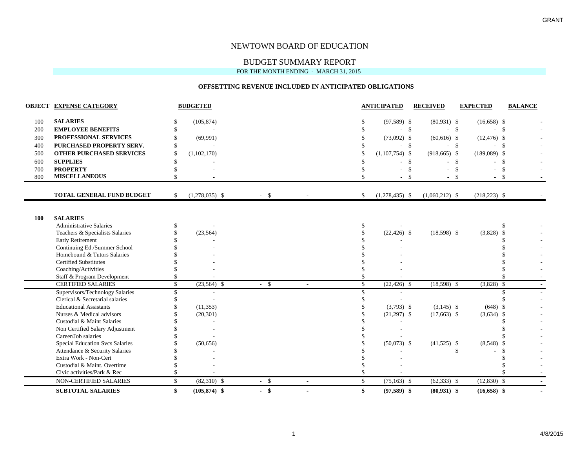#### BUDGET SUMMARY REPORT

FOR THE MONTH ENDING - MARCH 31, 2015

#### **OFFSETTING REVENUE INCLUDED IN ANTICIPATED OBLIGATIONS**

|     | <b>OBJECT EXPENSE CATEGORY</b>         |     | <b>BUDGETED</b>  |        |                          |    | <b>ANTICIPATED</b> | <b>RECEIVED</b>  | <b>EXPECTED</b>  | <b>BALANCE</b> |
|-----|----------------------------------------|-----|------------------|--------|--------------------------|----|--------------------|------------------|------------------|----------------|
| 100 | <b>SALARIES</b>                        |     | (105, 874)       |        |                          |    | $(97,589)$ \$      | $(80,931)$ \$    | $(16,658)$ \$    |                |
| 200 | <b>EMPLOYEE BENEFITS</b>               |     |                  |        |                          |    | $-$ \$             |                  | $-$ \$<br>$-$ \$ |                |
| 300 | PROFESSIONAL SERVICES                  |     | (69,991)         |        |                          |    | $(73,092)$ \$      | $(60,616)$ \$    | $(12, 476)$ \$   |                |
| 400 | PURCHASED PROPERTY SERV.               |     |                  |        |                          |    | $-$ \$             |                  | $-$ \$           | - \$           |
| 500 | <b>OTHER PURCHASED SERVICES</b>        | \$. | (1,102,170)      |        |                          |    | $(1,107,754)$ \$   | $(918, 665)$ \$  | $(189,089)$ \$   |                |
| 600 | <b>SUPPLIES</b>                        |     |                  |        |                          |    |                    | <sup>\$</sup>    | $-$ \$           | $\mathcal{S}$  |
| 700 | <b>PROPERTY</b>                        |     |                  |        |                          |    |                    |                  | \$               | \$             |
| 800 | <b>MISCELLANEOUS</b>                   |     |                  |        |                          |    |                    |                  | $\mathcal{S}$    | - \$           |
|     | TOTAL GENERAL FUND BUDGET              | \$  | $(1,278,035)$ \$ | $-$ \$ |                          | S. | $(1,278,435)$ \$   | $(1,060,212)$ \$ | $(218,223)$ \$   |                |
|     |                                        |     |                  |        |                          |    |                    |                  |                  |                |
| 100 | <b>SALARIES</b>                        |     |                  |        |                          |    |                    |                  |                  |                |
|     | <b>Administrative Salaries</b>         |     |                  |        |                          |    |                    |                  |                  |                |
|     | Teachers & Specialists Salaries        |     | (23, 564)        |        |                          |    | $(22, 426)$ \$     | $(18,598)$ \$    | $(3,828)$ \$     |                |
|     | Early Retirement                       |     |                  |        |                          |    |                    |                  |                  |                |
|     | Continuing Ed./Summer School           |     |                  |        |                          |    |                    |                  |                  |                |
|     | Homebound & Tutors Salaries            |     |                  |        |                          |    |                    |                  |                  |                |
|     | <b>Certified Substitutes</b>           |     |                  |        |                          |    |                    |                  |                  |                |
|     | Coaching/Activities                    |     |                  |        |                          |    |                    |                  |                  |                |
|     | Staff & Program Development            |     |                  |        |                          |    |                    |                  |                  |                |
|     | <b>CERTIFIED SALARIES</b>              | S.  | $(23,564)$ \$    | $-$ \$ | $\overline{\phantom{a}}$ | S. | $(22, 426)$ \$     | $(18,598)$ \$    | $(3,828)$ \$     |                |
|     | Supervisors/Technology Salaries        | \$. |                  |        |                          |    |                    |                  |                  |                |
|     | Clerical & Secretarial salaries        |     |                  |        |                          |    |                    |                  |                  |                |
|     | <b>Educational Assistants</b>          |     | (11, 353)        |        |                          |    | $(3,793)$ \$       | $(3,145)$ \$     | $(648)$ \$       |                |
|     | Nurses & Medical advisors              |     | (20, 301)        |        |                          |    | $(21,297)$ \$      | $(17,663)$ \$    | $(3,634)$ \$     |                |
|     | Custodial & Maint Salaries             |     |                  |        |                          |    |                    |                  |                  |                |
|     | Non Certified Salary Adjustment        |     |                  |        |                          |    |                    |                  |                  |                |
|     | Career/Job salaries                    |     |                  |        |                          |    |                    |                  |                  |                |
|     | <b>Special Education Svcs Salaries</b> |     | (50,656)         |        |                          |    | $(50,073)$ \$      | $(41,525)$ \$    | $(8,548)$ \$     |                |
|     | Attendance & Security Salaries         |     |                  |        |                          |    |                    |                  | \$               |                |
|     | Extra Work - Non-Cert                  |     |                  |        |                          |    |                    |                  |                  |                |
|     | Custodial & Maint. Overtime            |     |                  |        |                          |    |                    |                  |                  |                |
|     | Civic activities/Park & Rec            |     |                  |        |                          |    |                    |                  |                  |                |
|     | NON-CERTIFIED SALARIES                 | \$  | $(82,310)$ \$    | $-5$   | $\overline{\phantom{a}}$ | \$ | $(75, 163)$ \$     | $(62, 333)$ \$   | $(12,830)$ \$    |                |
|     | <b>SUBTOTAL SALARIES</b>               | \$  | $(105, 874)$ \$  | $-$ \$ | $\blacksquare$           | \$ | $(97,589)$ \$      | $(80,931)$ \$    | $(16,658)$ \$    |                |